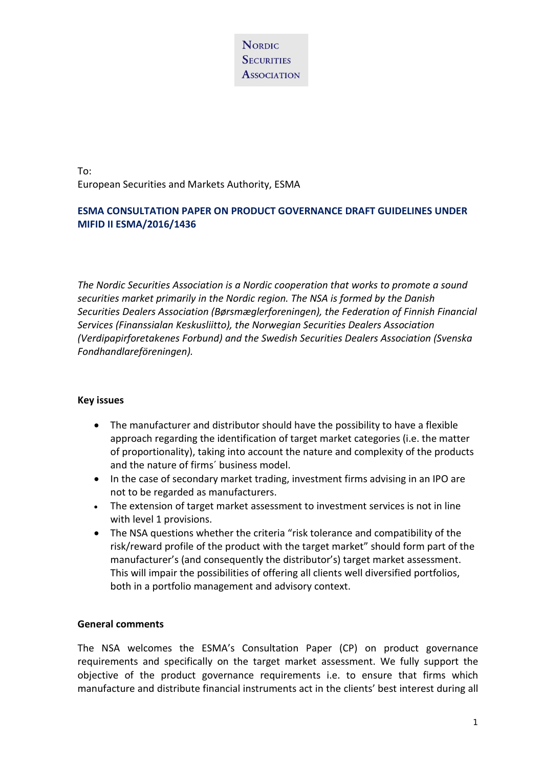To: European Securities and Markets Authority, ESMA

## **ESMA CONSULTATION PAPER ON PRODUCT GOVERNANCE DRAFT GUIDELINES UNDER MIFID II ESMA/2016/1436**

*The Nordic Securities Association is a Nordic cooperation that works to promote a sound securities market primarily in the Nordic region. The NSA is formed by the Danish Securities Dealers Association (Børsmæglerforeningen), the Federation of Finnish Financial Services (Finanssialan Keskusliitto), the Norwegian Securities Dealers Association (Verdipapirforetakenes Forbund) and the Swedish Securities Dealers Association (Svenska Fondhandlareföreningen).*

### **Key issues**

- The manufacturer and distributor should have the possibility to have a flexible approach regarding the identification of target market categories (i.e. the matter of proportionality), taking into account the nature and complexity of the products and the nature of firms´ business model.
- In the case of secondary market trading, investment firms advising in an IPO are not to be regarded as manufacturers.
- The extension of target market assessment to investment services is not in line with level 1 provisions.
- The NSA questions whether the criteria "risk tolerance and compatibility of the risk/reward profile of the product with the target market" should form part of the manufacturer's (and consequently the distributor's) target market assessment. This will impair the possibilities of offering all clients well diversified portfolios, both in a portfolio management and advisory context.

#### **General comments**

The NSA welcomes the ESMA's Consultation Paper (CP) on product governance requirements and specifically on the target market assessment. We fully support the objective of the product governance requirements i.e. to ensure that firms which manufacture and distribute financial instruments act in the clients' best interest during all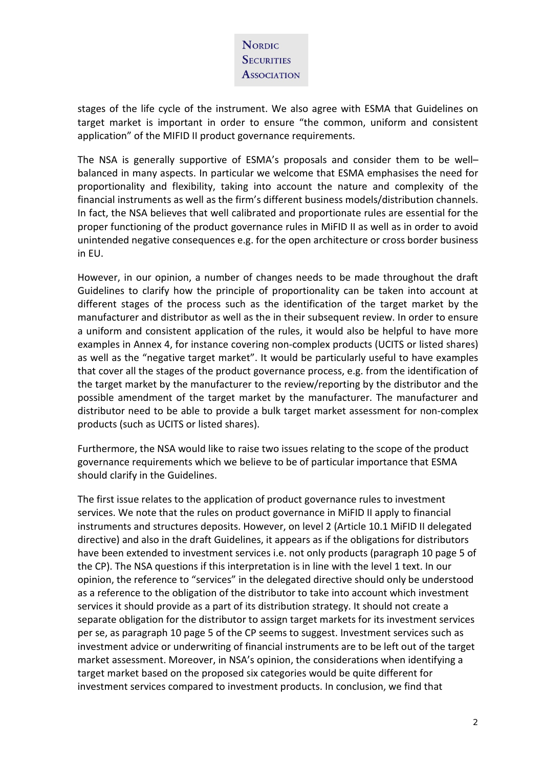

stages of the life cycle of the instrument. We also agree with ESMA that Guidelines on target market is important in order to ensure "the common, uniform and consistent application" of the MIFID II product governance requirements.

The NSA is generally supportive of ESMA's proposals and consider them to be well– balanced in many aspects. In particular we welcome that ESMA emphasises the need for proportionality and flexibility, taking into account the nature and complexity of the financial instruments as well as the firm's different business models/distribution channels. In fact, the NSA believes that well calibrated and proportionate rules are essential for the proper functioning of the product governance rules in MiFID II as well as in order to avoid unintended negative consequences e.g. for the open architecture or cross border business in EU.

However, in our opinion, a number of changes needs to be made throughout the draft Guidelines to clarify how the principle of proportionality can be taken into account at different stages of the process such as the identification of the target market by the manufacturer and distributor as well as the in their subsequent review. In order to ensure a uniform and consistent application of the rules, it would also be helpful to have more examples in Annex 4, for instance covering non-complex products (UCITS or listed shares) as well as the "negative target market". It would be particularly useful to have examples that cover all the stages of the product governance process, e.g. from the identification of the target market by the manufacturer to the review/reporting by the distributor and the possible amendment of the target market by the manufacturer. The manufacturer and distributor need to be able to provide a bulk target market assessment for non-complex products (such as UCITS or listed shares).

Furthermore, the NSA would like to raise two issues relating to the scope of the product governance requirements which we believe to be of particular importance that ESMA should clarify in the Guidelines.

The first issue relates to the application of product governance rules to investment services. We note that the rules on product governance in MiFID II apply to financial instruments and structures deposits. However, on level 2 (Article 10.1 MiFID II delegated directive) and also in the draft Guidelines, it appears as if the obligations for distributors have been extended to investment services i.e. not only products (paragraph 10 page 5 of the CP). The NSA questions if this interpretation is in line with the level 1 text. In our opinion, the reference to "services" in the delegated directive should only be understood as a reference to the obligation of the distributor to take into account which investment services it should provide as a part of its distribution strategy. It should not create a separate obligation for the distributor to assign target markets for its investment services per se, as paragraph 10 page 5 of the CP seems to suggest. Investment services such as investment advice or underwriting of financial instruments are to be left out of the target market assessment. Moreover, in NSA's opinion, the considerations when identifying a target market based on the proposed six categories would be quite different for investment services compared to investment products. In conclusion, we find that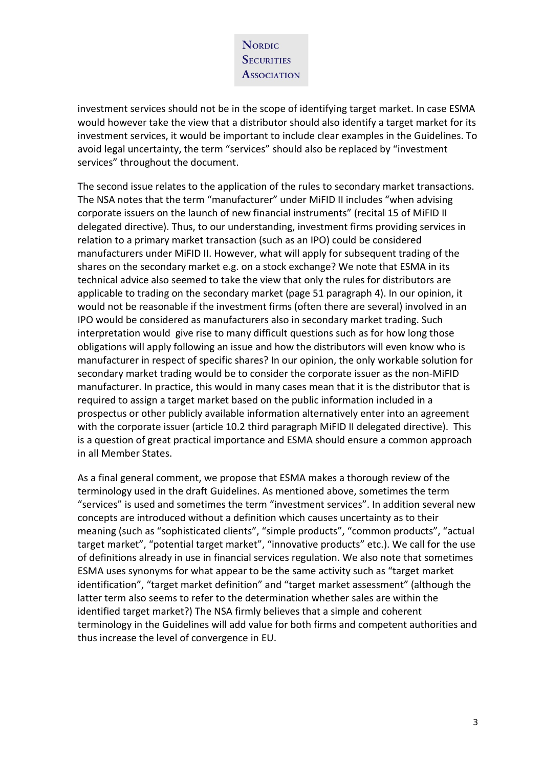investment services should not be in the scope of identifying target market. In case ESMA would however take the view that a distributor should also identify a target market for its investment services, it would be important to include clear examples in the Guidelines. To avoid legal uncertainty, the term "services" should also be replaced by "investment services" throughout the document.

The second issue relates to the application of the rules to secondary market transactions. The NSA notes that the term "manufacturer" under MiFID II includes "when advising corporate issuers on the launch of new financial instruments" (recital 15 of MiFID II delegated directive). Thus, to our understanding, investment firms providing services in relation to a primary market transaction (such as an IPO) could be considered manufacturers under MiFID II. However, what will apply for subsequent trading of the shares on the secondary market e.g. on a stock exchange? We note that ESMA in its technical advice also seemed to take the view that only the rules for distributors are applicable to trading on the secondary market (page 51 paragraph 4). In our opinion, it would not be reasonable if the investment firms (often there are several) involved in an IPO would be considered as manufacturers also in secondary market trading. Such interpretation would give rise to many difficult questions such as for how long those obligations will apply following an issue and how the distributors will even know who is manufacturer in respect of specific shares? In our opinion, the only workable solution for secondary market trading would be to consider the corporate issuer as the non-MiFID manufacturer. In practice, this would in many cases mean that it is the distributor that is required to assign a target market based on the public information included in a prospectus or other publicly available information alternatively enter into an agreement with the corporate issuer (article 10.2 third paragraph MiFID II delegated directive). This is a question of great practical importance and ESMA should ensure a common approach in all Member States.

As a final general comment, we propose that ESMA makes a thorough review of the terminology used in the draft Guidelines. As mentioned above, sometimes the term "services" is used and sometimes the term "investment services". In addition several new concepts are introduced without a definition which causes uncertainty as to their meaning (such as "sophisticated clients", "simple products", "common products", "actual target market", "potential target market", "innovative products" etc.). We call for the use of definitions already in use in financial services regulation. We also note that sometimes ESMA uses synonyms for what appear to be the same activity such as "target market identification", "target market definition" and "target market assessment" (although the latter term also seems to refer to the determination whether sales are within the identified target market?) The NSA firmly believes that a simple and coherent terminology in the Guidelines will add value for both firms and competent authorities and thus increase the level of convergence in EU.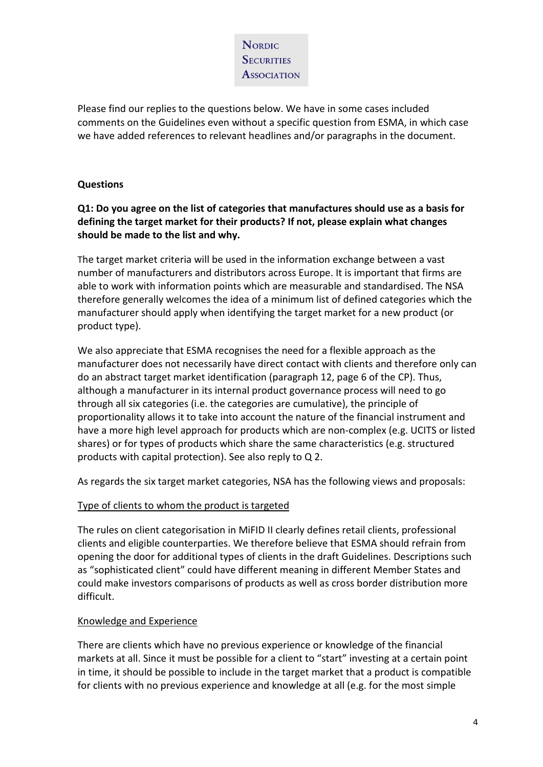Please find our replies to the questions below. We have in some cases included comments on the Guidelines even without a specific question from ESMA, in which case we have added references to relevant headlines and/or paragraphs in the document.

## **Questions**

## **Q1: Do you agree on the list of categories that manufactures should use as a basis for defining the target market for their products? If not, please explain what changes should be made to the list and why.**

The target market criteria will be used in the information exchange between a vast number of manufacturers and distributors across Europe. It is important that firms are able to work with information points which are measurable and standardised. The NSA therefore generally welcomes the idea of a minimum list of defined categories which the manufacturer should apply when identifying the target market for a new product (or product type).

We also appreciate that ESMA recognises the need for a flexible approach as the manufacturer does not necessarily have direct contact with clients and therefore only can do an abstract target market identification (paragraph 12, page 6 of the CP). Thus, although a manufacturer in its internal product governance process will need to go through all six categories (i.e. the categories are cumulative), the principle of proportionality allows it to take into account the nature of the financial instrument and have a more high level approach for products which are non-complex (e.g. UCITS or listed shares) or for types of products which share the same characteristics (e.g. structured products with capital protection). See also reply to Q 2.

As regards the six target market categories, NSA has the following views and proposals:

## Type of clients to whom the product is targeted

The rules on client categorisation in MiFID II clearly defines retail clients, professional clients and eligible counterparties. We therefore believe that ESMA should refrain from opening the door for additional types of clients in the draft Guidelines. Descriptions such as "sophisticated client" could have different meaning in different Member States and could make investors comparisons of products as well as cross border distribution more difficult.

### Knowledge and Experience

There are clients which have no previous experience or knowledge of the financial markets at all. Since it must be possible for a client to "start" investing at a certain point in time, it should be possible to include in the target market that a product is compatible for clients with no previous experience and knowledge at all (e.g. for the most simple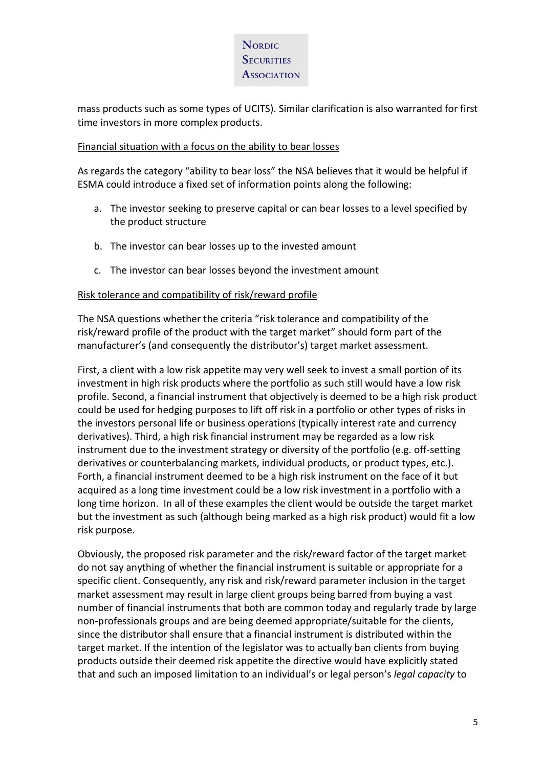mass products such as some types of UCITS). Similar clarification is also warranted for first time investors in more complex products.

### Financial situation with a focus on the ability to bear losses

As regards the category "ability to bear loss" the NSA believes that it would be helpful if ESMA could introduce a fixed set of information points along the following:

- a. The investor seeking to preserve capital or can bear losses to a level specified by the product structure
- b. The investor can bear losses up to the invested amount
- c. The investor can bear losses beyond the investment amount

### Risk tolerance and compatibility of risk/reward profile

The NSA questions whether the criteria "risk tolerance and compatibility of the risk/reward profile of the product with the target market" should form part of the manufacturer's (and consequently the distributor's) target market assessment.

First, a client with a low risk appetite may very well seek to invest a small portion of its investment in high risk products where the portfolio as such still would have a low risk profile. Second, a financial instrument that objectively is deemed to be a high risk product could be used for hedging purposes to lift off risk in a portfolio or other types of risks in the investors personal life or business operations (typically interest rate and currency derivatives). Third, a high risk financial instrument may be regarded as a low risk instrument due to the investment strategy or diversity of the portfolio (e.g. off-setting derivatives or counterbalancing markets, individual products, or product types, etc.). Forth, a financial instrument deemed to be a high risk instrument on the face of it but acquired as a long time investment could be a low risk investment in a portfolio with a long time horizon. In all of these examples the client would be outside the target market but the investment as such (although being marked as a high risk product) would fit a low risk purpose.

Obviously, the proposed risk parameter and the risk/reward factor of the target market do not say anything of whether the financial instrument is suitable or appropriate for a specific client. Consequently, any risk and risk/reward parameter inclusion in the target market assessment may result in large client groups being barred from buying a vast number of financial instruments that both are common today and regularly trade by large non-professionals groups and are being deemed appropriate/suitable for the clients, since the distributor shall ensure that a financial instrument is distributed within the target market. If the intention of the legislator was to actually ban clients from buying products outside their deemed risk appetite the directive would have explicitly stated that and such an imposed limitation to an individual's or legal person's *legal capacity* to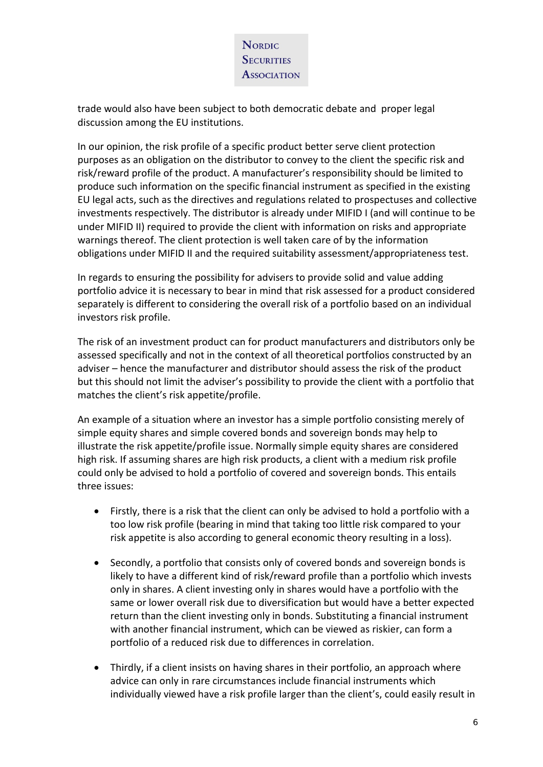

trade would also have been subject to both democratic debate and proper legal discussion among the EU institutions.

In our opinion, the risk profile of a specific product better serve client protection purposes as an obligation on the distributor to convey to the client the specific risk and risk/reward profile of the product. A manufacturer's responsibility should be limited to produce such information on the specific financial instrument as specified in the existing EU legal acts, such as the directives and regulations related to prospectuses and collective investments respectively. The distributor is already under MIFID I (and will continue to be under MIFID II) required to provide the client with information on risks and appropriate warnings thereof. The client protection is well taken care of by the information obligations under MIFID II and the required suitability assessment/appropriateness test.

In regards to ensuring the possibility for advisers to provide solid and value adding portfolio advice it is necessary to bear in mind that risk assessed for a product considered separately is different to considering the overall risk of a portfolio based on an individual investors risk profile.

The risk of an investment product can for product manufacturers and distributors only be assessed specifically and not in the context of all theoretical portfolios constructed by an adviser – hence the manufacturer and distributor should assess the risk of the product but this should not limit the adviser's possibility to provide the client with a portfolio that matches the client's risk appetite/profile.

An example of a situation where an investor has a simple portfolio consisting merely of simple equity shares and simple covered bonds and sovereign bonds may help to illustrate the risk appetite/profile issue. Normally simple equity shares are considered high risk. If assuming shares are high risk products, a client with a medium risk profile could only be advised to hold a portfolio of covered and sovereign bonds. This entails three issues:

- Firstly, there is a risk that the client can only be advised to hold a portfolio with a too low risk profile (bearing in mind that taking too little risk compared to your risk appetite is also according to general economic theory resulting in a loss).
- Secondly, a portfolio that consists only of covered bonds and sovereign bonds is likely to have a different kind of risk/reward profile than a portfolio which invests only in shares. A client investing only in shares would have a portfolio with the same or lower overall risk due to diversification but would have a better expected return than the client investing only in bonds. Substituting a financial instrument with another financial instrument, which can be viewed as riskier, can form a portfolio of a reduced risk due to differences in correlation.
- Thirdly, if a client insists on having shares in their portfolio, an approach where advice can only in rare circumstances include financial instruments which individually viewed have a risk profile larger than the client's, could easily result in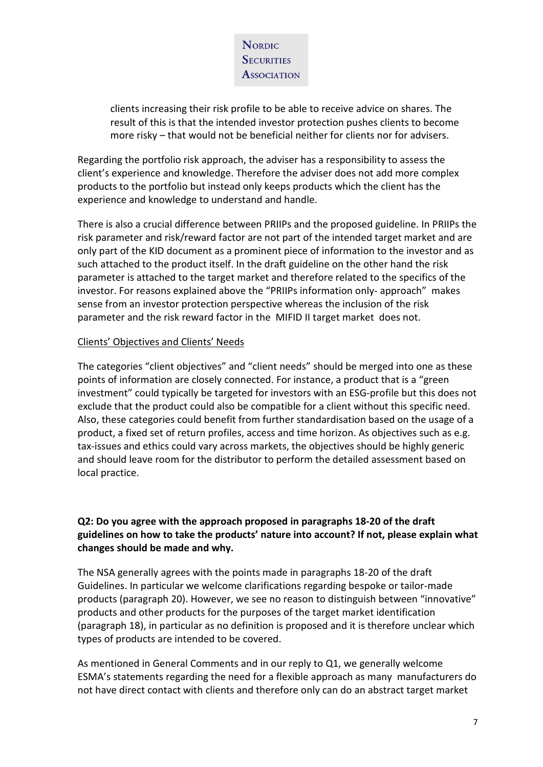

clients increasing their risk profile to be able to receive advice on shares. The result of this is that the intended investor protection pushes clients to become more risky – that would not be beneficial neither for clients nor for advisers.

Regarding the portfolio risk approach, the adviser has a responsibility to assess the client's experience and knowledge. Therefore the adviser does not add more complex products to the portfolio but instead only keeps products which the client has the experience and knowledge to understand and handle.

There is also a crucial difference between PRIIPs and the proposed guideline. In PRIIPs the risk parameter and risk/reward factor are not part of the intended target market and are only part of the KID document as a prominent piece of information to the investor and as such attached to the product itself. In the draft guideline on the other hand the risk parameter is attached to the target market and therefore related to the specifics of the investor. For reasons explained above the "PRIIPs information only- approach" makes sense from an investor protection perspective whereas the inclusion of the risk parameter and the risk reward factor in the MIFID II target market does not.

#### Clients' Objectives and Clients' Needs

The categories "client objectives" and "client needs" should be merged into one as these points of information are closely connected. For instance, a product that is a "green investment" could typically be targeted for investors with an ESG-profile but this does not exclude that the product could also be compatible for a client without this specific need. Also, these categories could benefit from further standardisation based on the usage of a product, a fixed set of return profiles, access and time horizon. As objectives such as e.g. tax-issues and ethics could vary across markets, the objectives should be highly generic and should leave room for the distributor to perform the detailed assessment based on local practice.

### **Q2: Do you agree with the approach proposed in paragraphs 18-20 of the draft guidelines on how to take the products' nature into account? If not, please explain what changes should be made and why.**

The NSA generally agrees with the points made in paragraphs 18-20 of the draft Guidelines. In particular we welcome clarifications regarding bespoke or tailor-made products (paragraph 20). However, we see no reason to distinguish between "innovative" products and other products for the purposes of the target market identification (paragraph 18), in particular as no definition is proposed and it is therefore unclear which types of products are intended to be covered.

As mentioned in General Comments and in our reply to Q1, we generally welcome ESMA's statements regarding the need for a flexible approach as many manufacturers do not have direct contact with clients and therefore only can do an abstract target market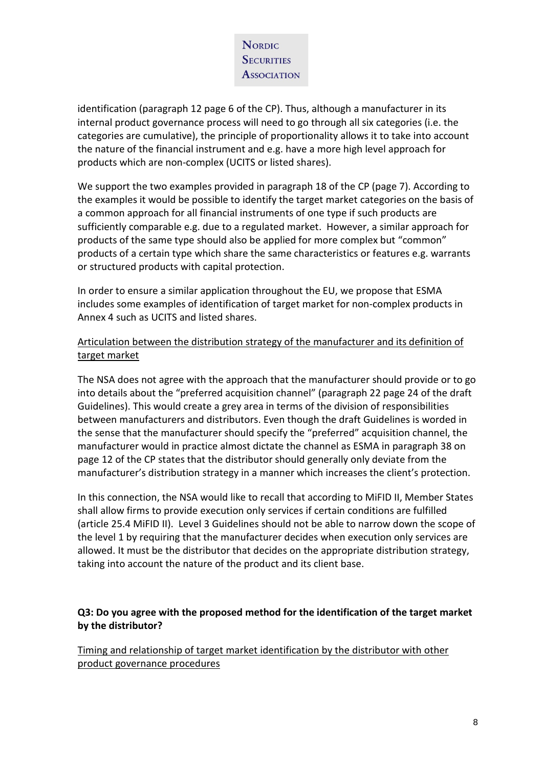

identification (paragraph 12 page 6 of the CP). Thus, although a manufacturer in its internal product governance process will need to go through all six categories (i.e. the categories are cumulative), the principle of proportionality allows it to take into account the nature of the financial instrument and e.g. have a more high level approach for products which are non-complex (UCITS or listed shares).

We support the two examples provided in paragraph 18 of the CP (page 7). According to the examples it would be possible to identify the target market categories on the basis of a common approach for all financial instruments of one type if such products are sufficiently comparable e.g. due to a regulated market. However, a similar approach for products of the same type should also be applied for more complex but "common" products of a certain type which share the same characteristics or features e.g. warrants or structured products with capital protection.

In order to ensure a similar application throughout the EU, we propose that ESMA includes some examples of identification of target market for non-complex products in Annex 4 such as UCITS and listed shares.

## Articulation between the distribution strategy of the manufacturer and its definition of target market

The NSA does not agree with the approach that the manufacturer should provide or to go into details about the "preferred acquisition channel" (paragraph 22 page 24 of the draft Guidelines). This would create a grey area in terms of the division of responsibilities between manufacturers and distributors. Even though the draft Guidelines is worded in the sense that the manufacturer should specify the "preferred" acquisition channel, the manufacturer would in practice almost dictate the channel as ESMA in paragraph 38 on page 12 of the CP states that the distributor should generally only deviate from the manufacturer's distribution strategy in a manner which increases the client's protection.

In this connection, the NSA would like to recall that according to MiFID II, Member States shall allow firms to provide execution only services if certain conditions are fulfilled (article 25.4 MiFID II). Level 3 Guidelines should not be able to narrow down the scope of the level 1 by requiring that the manufacturer decides when execution only services are allowed. It must be the distributor that decides on the appropriate distribution strategy, taking into account the nature of the product and its client base.

### **Q3: Do you agree with the proposed method for the identification of the target market by the distributor?**

Timing and relationship of target market identification by the distributor with other product governance procedures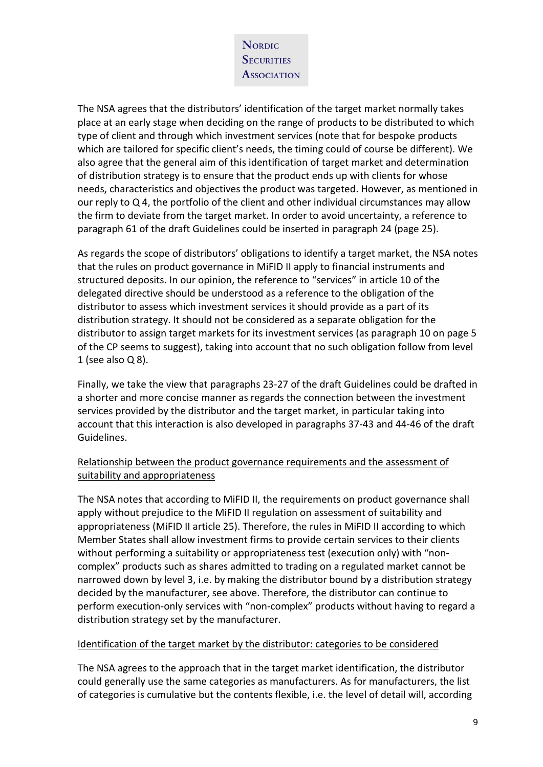The NSA agrees that the distributors' identification of the target market normally takes place at an early stage when deciding on the range of products to be distributed to which type of client and through which investment services (note that for bespoke products which are tailored for specific client's needs, the timing could of course be different). We also agree that the general aim of this identification of target market and determination of distribution strategy is to ensure that the product ends up with clients for whose needs, characteristics and objectives the product was targeted. However, as mentioned in our reply to Q 4, the portfolio of the client and other individual circumstances may allow the firm to deviate from the target market. In order to avoid uncertainty, a reference to paragraph 61 of the draft Guidelines could be inserted in paragraph 24 (page 25).

As regards the scope of distributors' obligations to identify a target market, the NSA notes that the rules on product governance in MiFID II apply to financial instruments and structured deposits. In our opinion, the reference to "services" in article 10 of the delegated directive should be understood as a reference to the obligation of the distributor to assess which investment services it should provide as a part of its distribution strategy. It should not be considered as a separate obligation for the distributor to assign target markets for its investment services (as paragraph 10 on page 5 of the CP seems to suggest), taking into account that no such obligation follow from level 1 (see also Q 8).

Finally, we take the view that paragraphs 23-27 of the draft Guidelines could be drafted in a shorter and more concise manner as regards the connection between the investment services provided by the distributor and the target market, in particular taking into account that this interaction is also developed in paragraphs 37-43 and 44-46 of the draft Guidelines.

### Relationship between the product governance requirements and the assessment of suitability and appropriateness

The NSA notes that according to MiFID II, the requirements on product governance shall apply without prejudice to the MiFID II regulation on assessment of suitability and appropriateness (MiFID II article 25). Therefore, the rules in MiFID II according to which Member States shall allow investment firms to provide certain services to their clients without performing a suitability or appropriateness test (execution only) with "noncomplex" products such as shares admitted to trading on a regulated market cannot be narrowed down by level 3, i.e. by making the distributor bound by a distribution strategy decided by the manufacturer, see above. Therefore, the distributor can continue to perform execution-only services with "non-complex" products without having to regard a distribution strategy set by the manufacturer.

#### Identification of the target market by the distributor: categories to be considered

The NSA agrees to the approach that in the target market identification, the distributor could generally use the same categories as manufacturers. As for manufacturers, the list of categories is cumulative but the contents flexible, i.e. the level of detail will, according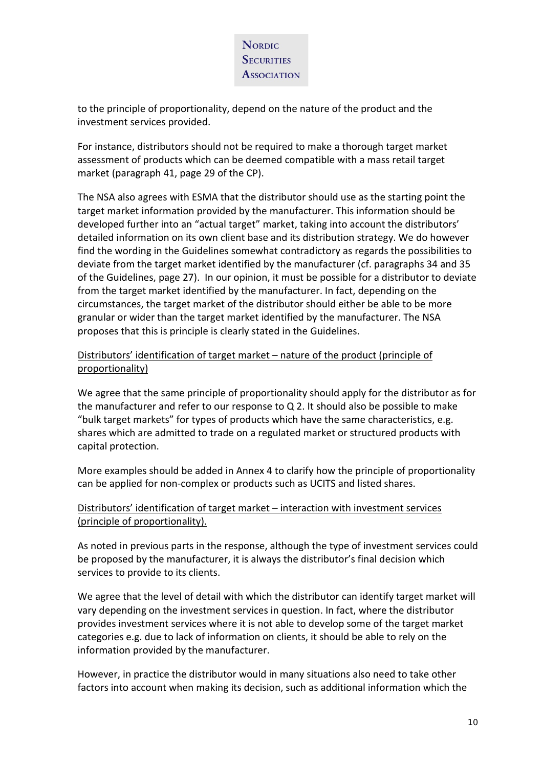

to the principle of proportionality, depend on the nature of the product and the investment services provided.

For instance, distributors should not be required to make a thorough target market assessment of products which can be deemed compatible with a mass retail target market (paragraph 41, page 29 of the CP).

The NSA also agrees with ESMA that the distributor should use as the starting point the target market information provided by the manufacturer. This information should be developed further into an "actual target" market, taking into account the distributors' detailed information on its own client base and its distribution strategy. We do however find the wording in the Guidelines somewhat contradictory as regards the possibilities to deviate from the target market identified by the manufacturer (cf. paragraphs 34 and 35 of the Guidelines, page 27). In our opinion, it must be possible for a distributor to deviate from the target market identified by the manufacturer. In fact, depending on the circumstances, the target market of the distributor should either be able to be more granular or wider than the target market identified by the manufacturer. The NSA proposes that this is principle is clearly stated in the Guidelines.

## Distributors' identification of target market – nature of the product (principle of proportionality)

We agree that the same principle of proportionality should apply for the distributor as for the manufacturer and refer to our response to Q 2. It should also be possible to make "bulk target markets" for types of products which have the same characteristics, e.g. shares which are admitted to trade on a regulated market or structured products with capital protection.

More examples should be added in Annex 4 to clarify how the principle of proportionality can be applied for non-complex or products such as UCITS and listed shares.

## Distributors' identification of target market – interaction with investment services (principle of proportionality).

As noted in previous parts in the response, although the type of investment services could be proposed by the manufacturer, it is always the distributor's final decision which services to provide to its clients.

We agree that the level of detail with which the distributor can identify target market will vary depending on the investment services in question. In fact, where the distributor provides investment services where it is not able to develop some of the target market categories e.g. due to lack of information on clients, it should be able to rely on the information provided by the manufacturer.

However, in practice the distributor would in many situations also need to take other factors into account when making its decision, such as additional information which the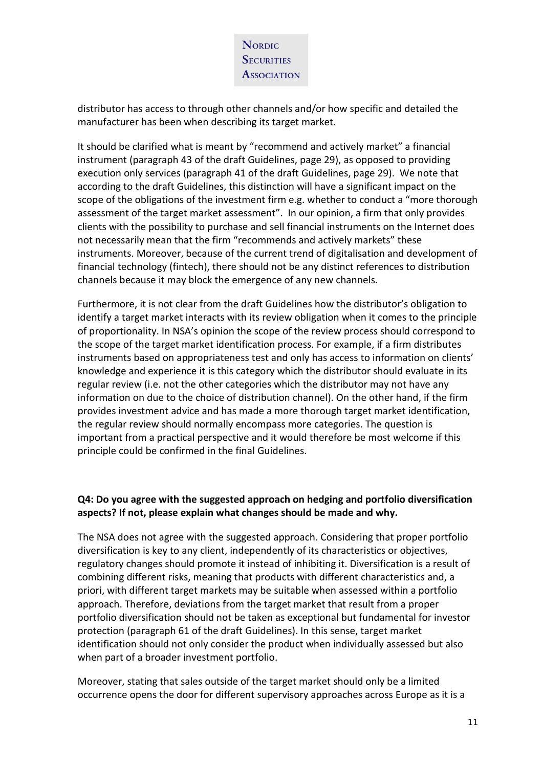

distributor has access to through other channels and/or how specific and detailed the manufacturer has been when describing its target market.

It should be clarified what is meant by "recommend and actively market" a financial instrument (paragraph 43 of the draft Guidelines, page 29), as opposed to providing execution only services (paragraph 41 of the draft Guidelines, page 29). We note that according to the draft Guidelines, this distinction will have a significant impact on the scope of the obligations of the investment firm e.g. whether to conduct a "more thorough assessment of the target market assessment". In our opinion, a firm that only provides clients with the possibility to purchase and sell financial instruments on the Internet does not necessarily mean that the firm "recommends and actively markets" these instruments. Moreover, because of the current trend of digitalisation and development of financial technology (fintech), there should not be any distinct references to distribution channels because it may block the emergence of any new channels.

Furthermore, it is not clear from the draft Guidelines how the distributor's obligation to identify a target market interacts with its review obligation when it comes to the principle of proportionality. In NSA's opinion the scope of the review process should correspond to the scope of the target market identification process. For example, if a firm distributes instruments based on appropriateness test and only has access to information on clients' knowledge and experience it is this category which the distributor should evaluate in its regular review (i.e. not the other categories which the distributor may not have any information on due to the choice of distribution channel). On the other hand, if the firm provides investment advice and has made a more thorough target market identification, the regular review should normally encompass more categories. The question is important from a practical perspective and it would therefore be most welcome if this principle could be confirmed in the final Guidelines.

### **Q4: Do you agree with the suggested approach on hedging and portfolio diversification aspects? If not, please explain what changes should be made and why.**

The NSA does not agree with the suggested approach. Considering that proper portfolio diversification is key to any client, independently of its characteristics or objectives, regulatory changes should promote it instead of inhibiting it. Diversification is a result of combining different risks, meaning that products with different characteristics and, a priori, with different target markets may be suitable when assessed within a portfolio approach. Therefore, deviations from the target market that result from a proper portfolio diversification should not be taken as exceptional but fundamental for investor protection (paragraph 61 of the draft Guidelines). In this sense, target market identification should not only consider the product when individually assessed but also when part of a broader investment portfolio.

Moreover, stating that sales outside of the target market should only be a limited occurrence opens the door for different supervisory approaches across Europe as it is a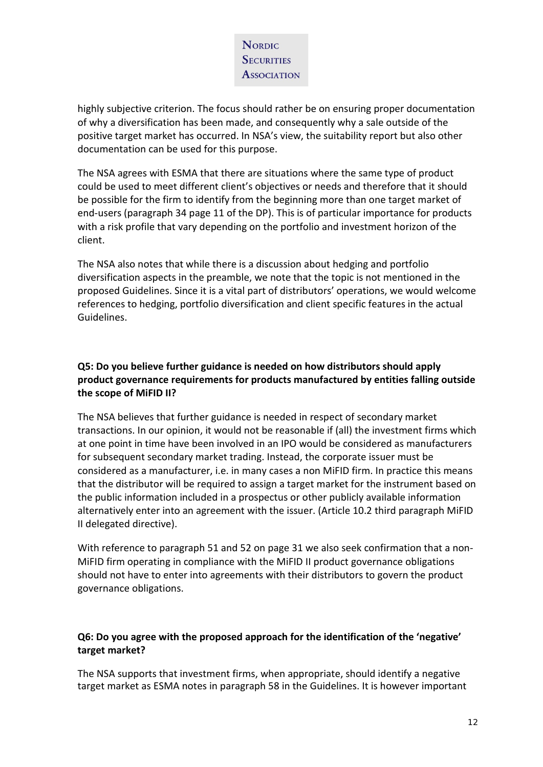highly subjective criterion. The focus should rather be on ensuring proper documentation of why a diversification has been made, and consequently why a sale outside of the positive target market has occurred. In NSA's view, the suitability report but also other documentation can be used for this purpose.

The NSA agrees with ESMA that there are situations where the same type of product could be used to meet different client's objectives or needs and therefore that it should be possible for the firm to identify from the beginning more than one target market of end-users (paragraph 34 page 11 of the DP). This is of particular importance for products with a risk profile that vary depending on the portfolio and investment horizon of the client.

The NSA also notes that while there is a discussion about hedging and portfolio diversification aspects in the preamble, we note that the topic is not mentioned in the proposed Guidelines. Since it is a vital part of distributors' operations, we would welcome references to hedging, portfolio diversification and client specific features in the actual Guidelines.

## **Q5: Do you believe further guidance is needed on how distributors should apply product governance requirements for products manufactured by entities falling outside the scope of MiFID II?**

The NSA believes that further guidance is needed in respect of secondary market transactions. In our opinion, it would not be reasonable if (all) the investment firms which at one point in time have been involved in an IPO would be considered as manufacturers for subsequent secondary market trading. Instead, the corporate issuer must be considered as a manufacturer, i.e. in many cases a non MiFID firm. In practice this means that the distributor will be required to assign a target market for the instrument based on the public information included in a prospectus or other publicly available information alternatively enter into an agreement with the issuer. (Article 10.2 third paragraph MiFID II delegated directive).

With reference to paragraph 51 and 52 on page 31 we also seek confirmation that a non-MiFID firm operating in compliance with the MiFID II product governance obligations should not have to enter into agreements with their distributors to govern the product governance obligations.

## **Q6: Do you agree with the proposed approach for the identification of the 'negative' target market?**

The NSA supports that investment firms, when appropriate, should identify a negative target market as ESMA notes in paragraph 58 in the Guidelines. It is however important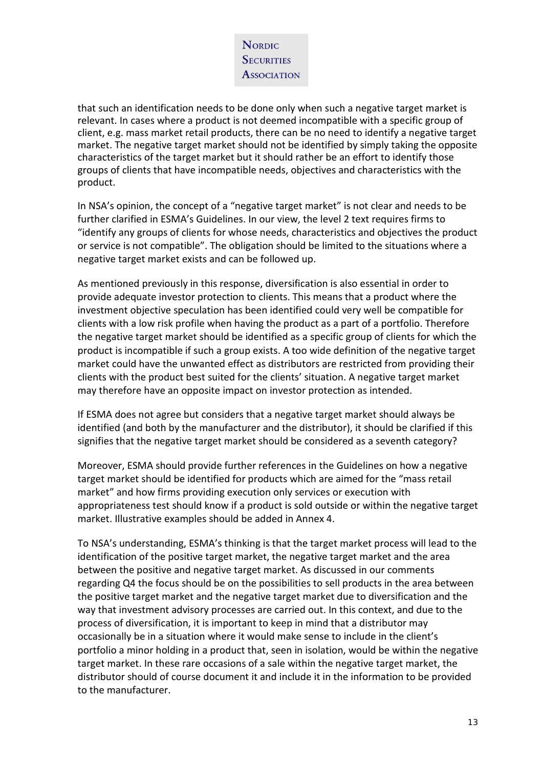that such an identification needs to be done only when such a negative target market is relevant. In cases where a product is not deemed incompatible with a specific group of client, e.g. mass market retail products, there can be no need to identify a negative target market. The negative target market should not be identified by simply taking the opposite characteristics of the target market but it should rather be an effort to identify those groups of clients that have incompatible needs, objectives and characteristics with the product.

In NSA's opinion, the concept of a "negative target market" is not clear and needs to be further clarified in ESMA's Guidelines. In our view, the level 2 text requires firms to "identify any groups of clients for whose needs, characteristics and objectives the product or service is not compatible". The obligation should be limited to the situations where a negative target market exists and can be followed up.

As mentioned previously in this response, diversification is also essential in order to provide adequate investor protection to clients. This means that a product where the investment objective speculation has been identified could very well be compatible for clients with a low risk profile when having the product as a part of a portfolio. Therefore the negative target market should be identified as a specific group of clients for which the product is incompatible if such a group exists. A too wide definition of the negative target market could have the unwanted effect as distributors are restricted from providing their clients with the product best suited for the clients' situation. A negative target market may therefore have an opposite impact on investor protection as intended.

If ESMA does not agree but considers that a negative target market should always be identified (and both by the manufacturer and the distributor), it should be clarified if this signifies that the negative target market should be considered as a seventh category?

Moreover, ESMA should provide further references in the Guidelines on how a negative target market should be identified for products which are aimed for the "mass retail market" and how firms providing execution only services or execution with appropriateness test should know if a product is sold outside or within the negative target market. Illustrative examples should be added in Annex 4.

To NSA's understanding, ESMA's thinking is that the target market process will lead to the identification of the positive target market, the negative target market and the area between the positive and negative target market. As discussed in our comments regarding Q4 the focus should be on the possibilities to sell products in the area between the positive target market and the negative target market due to diversification and the way that investment advisory processes are carried out. In this context, and due to the process of diversification, it is important to keep in mind that a distributor may occasionally be in a situation where it would make sense to include in the client's portfolio a minor holding in a product that, seen in isolation, would be within the negative target market. In these rare occasions of a sale within the negative target market, the distributor should of course document it and include it in the information to be provided to the manufacturer.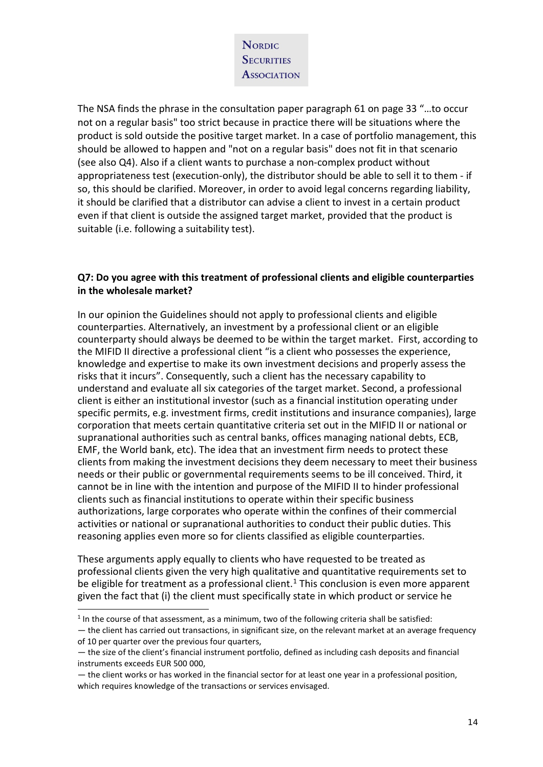The NSA finds the phrase in the consultation paper paragraph 61 on page 33 "…to occur not on a regular basis" too strict because in practice there will be situations where the product is sold outside the positive target market. In a case of portfolio management, this should be allowed to happen and "not on a regular basis" does not fit in that scenario (see also Q4). Also if a client wants to purchase a non-complex product without appropriateness test (execution-only), the distributor should be able to sell it to them - if so, this should be clarified. Moreover, in order to avoid legal concerns regarding liability, it should be clarified that a distributor can advise a client to invest in a certain product even if that client is outside the assigned target market, provided that the product is suitable (i.e. following a suitability test).

#### **Q7: Do you agree with this treatment of professional clients and eligible counterparties in the wholesale market?**

In our opinion the Guidelines should not apply to professional clients and eligible counterparties. Alternatively, an investment by a professional client or an eligible counterparty should always be deemed to be within the target market. First, according to the MIFID II directive a professional client "is a client who possesses the experience, knowledge and expertise to make its own investment decisions and properly assess the risks that it incurs". Consequently, such a client has the necessary capability to understand and evaluate all six categories of the target market. Second, a professional client is either an institutional investor (such as a financial institution operating under specific permits, e.g. investment firms, credit institutions and insurance companies), large corporation that meets certain quantitative criteria set out in the MIFID II or national or supranational authorities such as central banks, offices managing national debts, ECB, EMF, the World bank, etc). The idea that an investment firm needs to protect these clients from making the investment decisions they deem necessary to meet their business needs or their public or governmental requirements seems to be ill conceived. Third, it cannot be in line with the intention and purpose of the MIFID II to hinder professional clients such as financial institutions to operate within their specific business authorizations, large corporates who operate within the confines of their commercial activities or national or supranational authorities to conduct their public duties. This reasoning applies even more so for clients classified as eligible counterparties.

These arguments apply equally to clients who have requested to be treated as professional clients given the very high qualitative and quantitative requirements set to be eligible for treatment as a professional client.<sup>[1](#page-13-0)</sup> This conclusion is even more apparent given the fact that (i) the client must specifically state in which product or service he

i,

<span id="page-13-0"></span> $<sup>1</sup>$  In the course of that assessment, as a minimum, two of the following criteria shall be satisfied:</sup>

<sup>—</sup> the client has carried out transactions, in significant size, on the relevant market at an average frequency of 10 per quarter over the previous four quarters,

<sup>—</sup> the size of the client's financial instrument portfolio, defined as including cash deposits and financial instruments exceeds EUR 500 000,

<sup>—</sup> the client works or has worked in the financial sector for at least one year in a professional position, which requires knowledge of the transactions or services envisaged.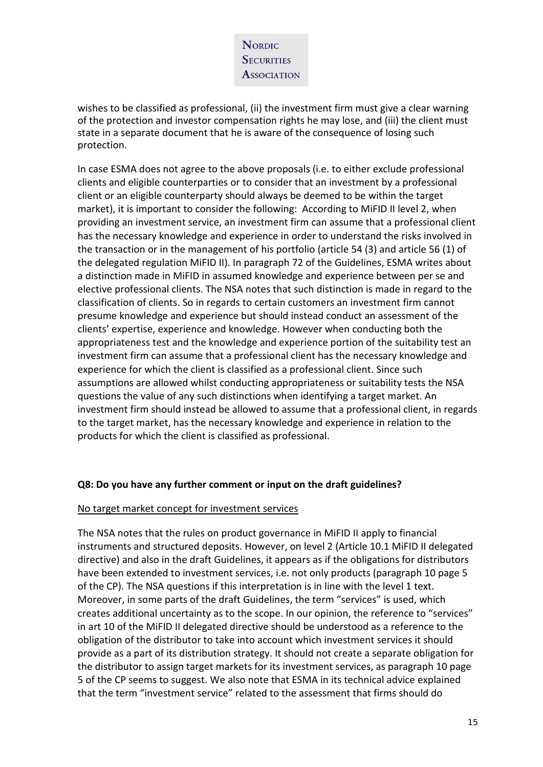wishes to be classified as professional, (ii) the investment firm must give a clear warning of the protection and investor compensation rights he may lose, and (iii) the client must state in a separate document that he is aware of the consequence of losing such protection.

In case ESMA does not agree to the above proposals (i.e. to either exclude professional clients and eligible counterparties or to consider that an investment by a professional client or an eligible counterparty should always be deemed to be within the target market), it is important to consider the following: According to MiFID II level 2, when providing an investment service, an investment firm can assume that a professional client has the necessary knowledge and experience in order to understand the risks involved in the transaction or in the management of his portfolio (article 54 (3) and article 56 (1) of the delegated regulation MiFID II). In paragraph 72 of the Guidelines, ESMA writes about a distinction made in MiFID in assumed knowledge and experience between per se and elective professional clients. The NSA notes that such distinction is made in regard to the classification of clients. So in regards to certain customers an investment firm cannot presume knowledge and experience but should instead conduct an assessment of the clients' expertise, experience and knowledge. However when conducting both the appropriateness test and the knowledge and experience portion of the suitability test an investment firm can assume that a professional client has the necessary knowledge and experience for which the client is classified as a professional client. Since such assumptions are allowed whilst conducting appropriateness or suitability tests the NSA questions the value of any such distinctions when identifying a target market. An investment firm should instead be allowed to assume that a professional client, in regards to the target market, has the necessary knowledge and experience in relation to the products for which the client is classified as professional.

#### **Q8: Do you have any further comment or input on the draft guidelines?**

#### No target market concept for investment services

The NSA notes that the rules on product governance in MiFID II apply to financial instruments and structured deposits. However, on level 2 (Article 10.1 MiFID II delegated directive) and also in the draft Guidelines, it appears as if the obligations for distributors have been extended to investment services, i.e. not only products (paragraph 10 page 5 of the CP). The NSA questions if this interpretation is in line with the level 1 text. Moreover, in some parts of the draft Guidelines, the term "services" is used, which creates additional uncertainty as to the scope. In our opinion, the reference to "services" in art 10 of the MiFID II delegated directive should be understood as a reference to the obligation of the distributor to take into account which investment services it should provide as a part of its distribution strategy. It should not create a separate obligation for the distributor to assign target markets for its investment services, as paragraph 10 page 5 of the CP seems to suggest. We also note that ESMA in its technical advice explained that the term "investment service" related to the assessment that firms should do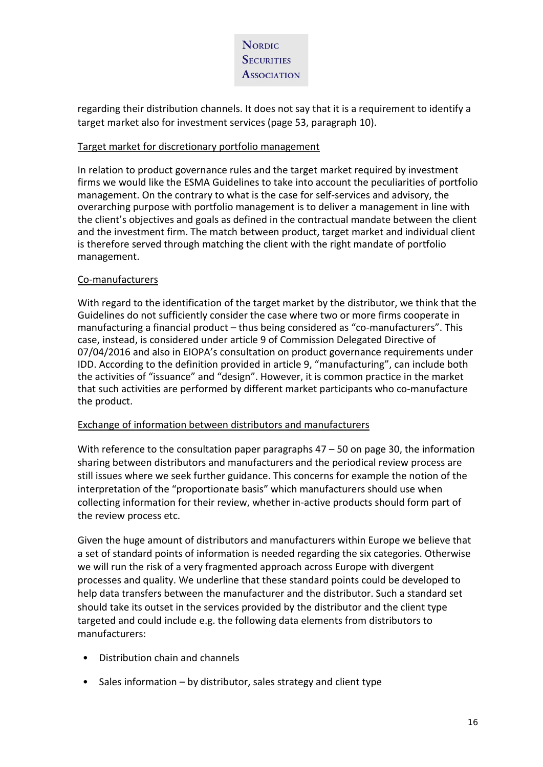

regarding their distribution channels. It does not say that it is a requirement to identify a target market also for investment services (page 53, paragraph 10).

#### Target market for discretionary portfolio management

In relation to product governance rules and the target market required by investment firms we would like the ESMA Guidelines to take into account the peculiarities of portfolio management. On the contrary to what is the case for self-services and advisory, the overarching purpose with portfolio management is to deliver a management in line with the client's objectives and goals as defined in the contractual mandate between the client and the investment firm. The match between product, target market and individual client is therefore served through matching the client with the right mandate of portfolio management.

### Co-manufacturers

With regard to the identification of the target market by the distributor, we think that the Guidelines do not sufficiently consider the case where two or more firms cooperate in manufacturing a financial product – thus being considered as "co-manufacturers". This case, instead, is considered under article 9 of Commission Delegated Directive of 07/04/2016 and also in EIOPA's consultation on product governance requirements under IDD. According to the definition provided in article 9, "manufacturing", can include both the activities of "issuance" and "design". However, it is common practice in the market that such activities are performed by different market participants who co-manufacture the product.

#### Exchange of information between distributors and manufacturers

With reference to the consultation paper paragraphs  $47 - 50$  on page 30, the information sharing between distributors and manufacturers and the periodical review process are still issues where we seek further guidance. This concerns for example the notion of the interpretation of the "proportionate basis" which manufacturers should use when collecting information for their review, whether in-active products should form part of the review process etc.

Given the huge amount of distributors and manufacturers within Europe we believe that a set of standard points of information is needed regarding the six categories. Otherwise we will run the risk of a very fragmented approach across Europe with divergent processes and quality. We underline that these standard points could be developed to help data transfers between the manufacturer and the distributor. Such a standard set should take its outset in the services provided by the distributor and the client type targeted and could include e.g. the following data elements from distributors to manufacturers:

- Distribution chain and channels
- Sales information by distributor, sales strategy and client type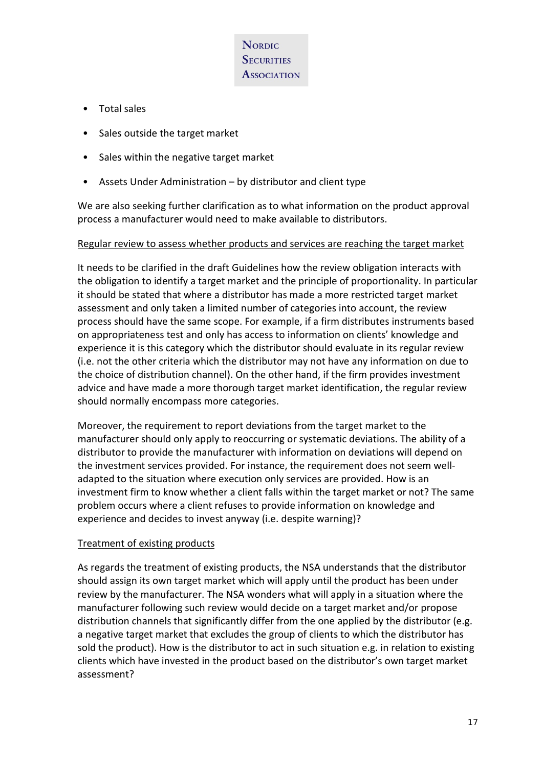- Total sales
- Sales outside the target market
- Sales within the negative target market
- Assets Under Administration by distributor and client type

We are also seeking further clarification as to what information on the product approval process a manufacturer would need to make available to distributors.

#### Regular review to assess whether products and services are reaching the target market

It needs to be clarified in the draft Guidelines how the review obligation interacts with the obligation to identify a target market and the principle of proportionality. In particular it should be stated that where a distributor has made a more restricted target market assessment and only taken a limited number of categories into account, the review process should have the same scope. For example, if a firm distributes instruments based on appropriateness test and only has access to information on clients' knowledge and experience it is this category which the distributor should evaluate in its regular review (i.e. not the other criteria which the distributor may not have any information on due to the choice of distribution channel). On the other hand, if the firm provides investment advice and have made a more thorough target market identification, the regular review should normally encompass more categories.

Moreover, the requirement to report deviations from the target market to the manufacturer should only apply to reoccurring or systematic deviations. The ability of a distributor to provide the manufacturer with information on deviations will depend on the investment services provided. For instance, the requirement does not seem welladapted to the situation where execution only services are provided. How is an investment firm to know whether a client falls within the target market or not? The same problem occurs where a client refuses to provide information on knowledge and experience and decides to invest anyway (i.e. despite warning)?

#### Treatment of existing products

As regards the treatment of existing products, the NSA understands that the distributor should assign its own target market which will apply until the product has been under review by the manufacturer. The NSA wonders what will apply in a situation where the manufacturer following such review would decide on a target market and/or propose distribution channels that significantly differ from the one applied by the distributor (e.g. a negative target market that excludes the group of clients to which the distributor has sold the product). How is the distributor to act in such situation e.g. in relation to existing clients which have invested in the product based on the distributor's own target market assessment?